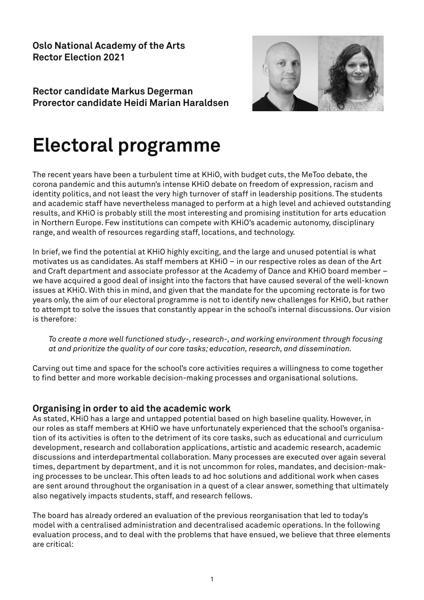**Oslo National Academy of the Arts Rector Election 2021** 

**Rector candidate Markus Degerman Prorector candidate Heidi Marian Haraldsen** 



# **Electoral programme**

The recent years have been a turbulent time at KHiO, with budget cuts, the MeToo debate, the corona pandemic and this autumn's intense KHiO debate on freedom of expression, racism and identity politics, and not least the very high turnover of staff in leadership positions. The students and academic staff have nevertheless managed to perform at a high level and achieved outstanding results, and KHiO is probably still the most interesting and promising institution for arts education in Northern Europe. Few institutions can compete with KHiO's academic autonomy, disciplinary range, and wealth of resources regarding staff, locations, and technology.

In brief, we find the potential at KHiO highly exciting, and the large and unused potential is what motivates us as candidates. As staff members at KHiO – in our respective roles as dean of the Art and Craft department and associate professor at the Academy of Dance and KHiO board member – we have acquired a good deal of insight into the factors that have caused several of the well-known issues at KHiO. With this in mind, and given that the mandate for the upcoming rectorate is for two years only, the aim of our electoral programme is not to identify new challenges for KHiO, but rather to attempt to solve the issues that constantly appear in the school's internal discussions. Our vision is therefore:

*To create a more well functioned study-, research-, and working environment through focusing at and prioritize the quality of our core tasks; education, research, and dissemination.* 

Carving out time and space for the school's core activities requires a willingness to come together to find better and more workable decision-making processes and organisational solutions.

#### **Organising in order to aid the academic work**

As stated, KHiO has a large and untapped potential based on high baseline quality. However, in our roles as staff members at KHiO we have unfortunately experienced that the school's organisation of its activities is often to the detriment of its core tasks, such as educational and curriculum development, research and collaboration applications, artistic and academic research, academic discussions and interdepartmental collaboration. Many processes are executed over again several times, department by department, and it is not uncommon for roles, mandates, and decision-making processes to be unclear. This often leads to ad hoc solutions and additional work when cases are sent around throughout the organisation in a quest of a clear answer, something that ultimately also negatively impacts students, staff, and research fellows.

The board has already ordered an evaluation of the previous reorganisation that led to today's model with a centralised administration and decentralised academic operations. In the following evaluation process, and to deal with the problems that have ensued, we believe that three elements are critical: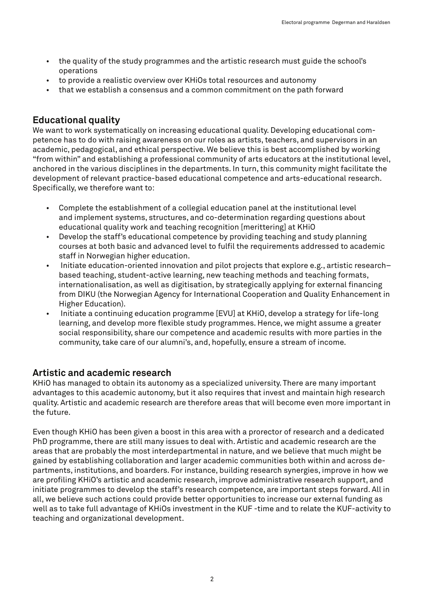- the quality of the study programmes and the artistic research must guide the school's operations
- to provide a realistic overview over KHiOs total resources and autonomy
- that we establish a consensus and a common commitment on the path forward

### **Educational quality**

We want to work systematically on increasing educational quality. Developing educational competence has to do with raising awareness on our roles as artists, teachers, and supervisors in an academic, pedagogical, and ethical perspective. We believe this is best accomplished by working "from within" and establishing a professional community of arts educators at the institutional level, anchored in the various disciplines in the departments. In turn, this community might facilitate the development of relevant practice-based educational competence and arts-educational research. Specifically, we therefore want to:

- Complete the establishment of a collegial education panel at the institutional level and implement systems, structures, and co-determination regarding questions about educational quality work and teaching recognition [merittering] at KHiO
- Develop the staff's educational competence by providing teaching and study planning courses at both basic and advanced level to fulfil the requirements addressed to academic staff in Norwegian higher education.
- Initiate education-oriented innovation and pilot projects that explore e.g., artistic research– based teaching, student-active learning, new teaching methods and teaching formats, internationalisation, as well as digitisation, by strategically applying for external financing from DIKU (the Norwegian Agency for International Cooperation and Quality Enhancement in Higher Education).
- Initiate a continuing education programme [EVU] at KHiO, develop a strategy for life-long learning, and develop more flexible study programmes. Hence, we might assume a greater social responsibility, share our competence and academic results with more parties in the community, take care of our alumni's, and, hopefully, ensure a stream of income.

## **Artistic and academic research**

KHiO has managed to obtain its autonomy as a specialized university. There are many important advantages to this academic autonomy, but it also requires that invest and maintain high research quality. Artistic and academic research are therefore areas that will become even more important in the future.

Even though KHiO has been given a boost in this area with a prorector of research and a dedicated PhD programme, there are still many issues to deal with. Artistic and academic research are the areas that are probably the most interdepartmental in nature, and we believe that much might be gained by establishing collaboration and larger academic communities both within and across departments, institutions, and boarders. For instance, building research synergies, improve in how we are profiling KHiO's artistic and academic research, improve administrative research support, and initiate programmes to develop the staff's research competence, are important steps forward. All in all, we believe such actions could provide better opportunities to increase our external funding as well as to take full advantage of KHiOs investment in the KUF -time and to relate the KUF-activity to teaching and organizational development.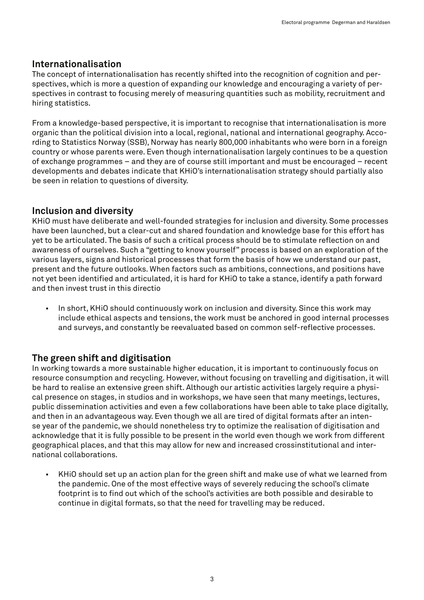#### **Internationalisation**

The concept of internationalisation has recently shifted into the recognition of cognition and perspectives, which is more a question of expanding our knowledge and encouraging a variety of perspectives in contrast to focusing merely of measuring quantities such as mobility, recruitment and hiring statistics.

From a knowledge-based perspective, it is important to recognise that internationalisation is more organic than the political division into a local, regional, national and international geography. According to Statistics Norway (SSB), Norway has nearly 800,000 inhabitants who were born in a foreign country or whose parents were. Even though internationalisation largely continues to be a question of exchange programmes – and they are of course still important and must be encouraged – recent developments and debates indicate that KHiO's internationalisation strategy should partially also be seen in relation to questions of diversity.

## **Inclusion and diversity**

KHiO must have deliberate and well-founded strategies for inclusion and diversity. Some processes have been launched, but a clear-cut and shared foundation and knowledge base for this effort has yet to be articulated. The basis of such a critical process should be to stimulate reflection on and awareness of ourselves. Such a "getting to know yourself" process is based on an exploration of the various layers, signs and historical processes that form the basis of how we understand our past, present and the future outlooks. When factors such as ambitions, connections, and positions have not yet been identified and articulated, it is hard for KHiO to take a stance, identify a path forward and then invest trust in this directio

• In short, KHiO should continuously work on inclusion and diversity. Since this work may include ethical aspects and tensions, the work must be anchored in good internal processes and surveys, and constantly be reevaluated based on common self-reflective processes.

# **The green shift and digitisation**

In working towards a more sustainable higher education, it is important to continuously focus on resource consumption and recycling. However, without focusing on travelling and digitisation, it will be hard to realise an extensive green shift. Although our artistic activities largely require a physical presence on stages, in studios and in workshops, we have seen that many meetings, lectures, public dissemination activities and even a few collaborations have been able to take place digitally, and then in an advantageous way. Even though we all are tired of digital formats after an intense year of the pandemic, we should nonetheless try to optimize the realisation of digitisation and acknowledge that it is fully possible to be present in the world even though we work from different geographical places, and that this may allow for new and increased crossinstitutional and international collaborations.

• KHiO should set up an action plan for the green shift and make use of what we learned from the pandemic. One of the most effective ways of severely reducing the school's climate footprint is to find out which of the school's activities are both possible and desirable to continue in digital formats, so that the need for travelling may be reduced.